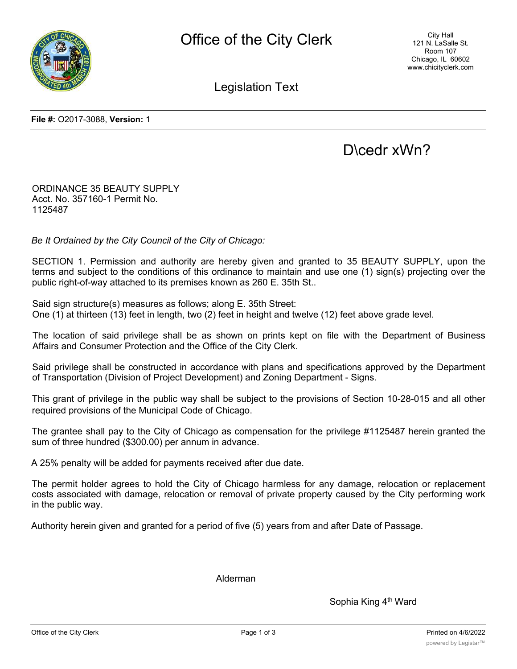

City Hall 121 N. LaSalle St. Room 107 Chicago, IL 60602 www.chicityclerk.com

Legislation Text

**File #:** O2017-3088, **Version:** 1

## D\cedr xWn?

ORDINANCE 35 BEAUTY SUPPLY Acct. No. 357160-1 Permit No. 1125487

*Be It Ordained by the City Council of the City of Chicago:*

SECTION 1. Permission and authority are hereby given and granted to 35 BEAUTY SUPPLY, upon the terms and subject to the conditions of this ordinance to maintain and use one (1) sign(s) projecting over the public right-of-way attached to its premises known as 260 E. 35th St..

Said sign structure(s) measures as follows; along E. 35th Street: One (1) at thirteen (13) feet in length, two (2) feet in height and twelve (12) feet above grade level.

The location of said privilege shall be as shown on prints kept on file with the Department of Business Affairs and Consumer Protection and the Office of the City Clerk.

Said privilege shall be constructed in accordance with plans and specifications approved by the Department of Transportation (Division of Project Development) and Zoning Department - Signs.

This grant of privilege in the public way shall be subject to the provisions of Section 10-28-015 and all other required provisions of the Municipal Code of Chicago.

The grantee shall pay to the City of Chicago as compensation for the privilege #1125487 herein granted the sum of three hundred (\$300.00) per annum in advance.

A 25% penalty will be added for payments received after due date.

The permit holder agrees to hold the City of Chicago harmless for any damage, relocation or replacement costs associated with damage, relocation or removal of private property caused by the City performing work in the public way.

Authority herein given and granted for a period of five (5) years from and after Date of Passage.

Alderman

Sophia King 4<sup>th</sup> Ward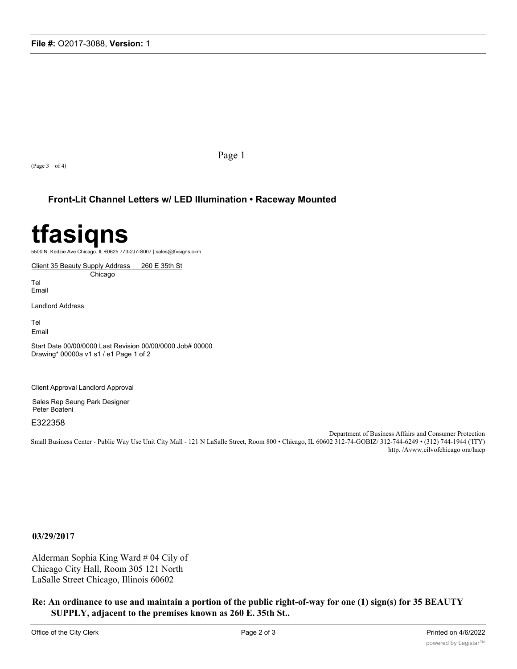(Page 3 of 4)

Page 1

### **Front-Lit Channel Letters w/ LED Illumination • Raceway Mounted**

# **tfasiqns**

5500 N. Kedzie Ave Chicago. IL €0625 773-2J7-S007 | sales@tf»signs.c«m

Client 35 Beauty Supply Address 260 E 35th St Chicago

Tel Email

Landlord Address

Tel Email

Start Date 00/00/0000 Last Revision 00/00/0000 Job# 00000 Drawing\* 00000a v1 s1 / e1 Page 1 of 2

Client Approval Landlord Approval

Sales Rep Seung Park Designer Peter Boateni

E322358

Department of Business Affairs and Consumer Protection Small Business Center - Public Way Use Unit City Mall - 121 N LaSalle Street, Room 800 • Chicago, IL 60602 312-74-GOBIZ/ 312-744-6249 • (312) 744-1944 ('ITY) http. /Avww.cilvofchicago ora/hacp

**03/29/2017**

Alderman Sophia King Ward # 04 Cily of Chicago City Hall, Room 305 121 North LaSalle Street Chicago, Illinois 60602

**Re: An ordinance to use and maintain a portion of the public right-of-way for one (1) sign(s) for 35 BEAUTY SUPPLY, adjacent to the premises known as 260 E. 35th St..**